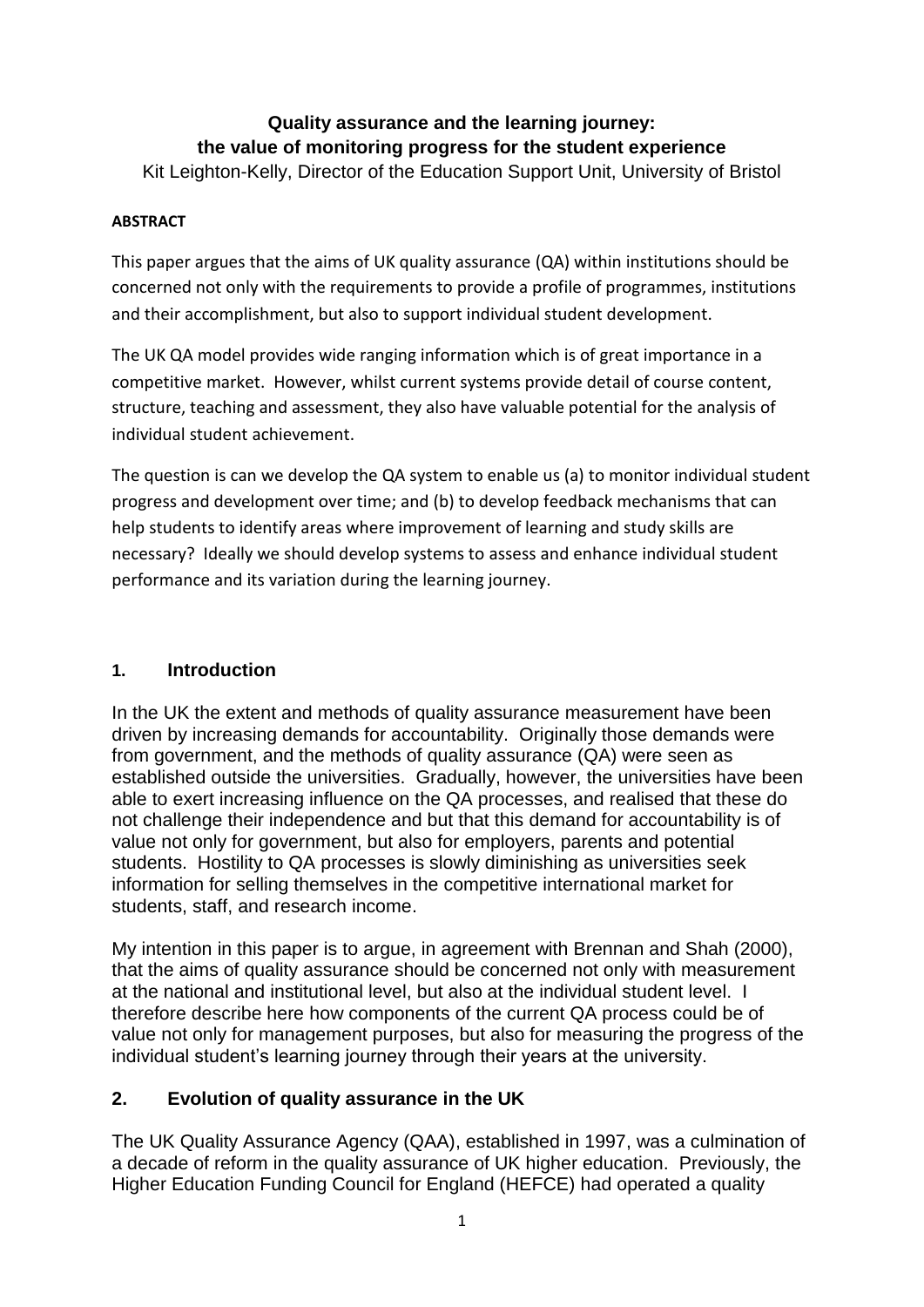# **Quality assurance and the learning journey: the value of monitoring progress for the student experience**

Kit Leighton-Kelly, Director of the Education Support Unit, University of Bristol

### **ABSTRACT**

This paper argues that the aims of UK quality assurance (QA) within institutions should be concerned not only with the requirements to provide a profile of programmes, institutions and their accomplishment, but also to support individual student development.

The UK QA model provides wide ranging information which is of great importance in a competitive market. However, whilst current systems provide detail of course content, structure, teaching and assessment, they also have valuable potential for the analysis of individual student achievement.

The question is can we develop the QA system to enable us (a) to monitor individual student progress and development over time; and (b) to develop feedback mechanisms that can help students to identify areas where improvement of learning and study skills are necessary? Ideally we should develop systems to assess and enhance individual student performance and its variation during the learning journey.

## **1. Introduction**

In the UK the extent and methods of quality assurance measurement have been driven by increasing demands for accountability. Originally those demands were from government, and the methods of quality assurance (QA) were seen as established outside the universities. Gradually, however, the universities have been able to exert increasing influence on the QA processes, and realised that these do not challenge their independence and but that this demand for accountability is of value not only for government, but also for employers, parents and potential students. Hostility to QA processes is slowly diminishing as universities seek information for selling themselves in the competitive international market for students, staff, and research income.

My intention in this paper is to argue, in agreement with Brennan and Shah (2000), that the aims of quality assurance should be concerned not only with measurement at the national and institutional level, but also at the individual student level. I therefore describe here how components of the current QA process could be of value not only for management purposes, but also for measuring the progress of the individual student's learning journey through their years at the university.

## **2. Evolution of quality assurance in the UK**

The UK Quality Assurance Agency (QAA), established in 1997, was a culmination of a decade of reform in the quality assurance of UK higher education. Previously, the Higher Education Funding Council for England (HEFCE) had operated a quality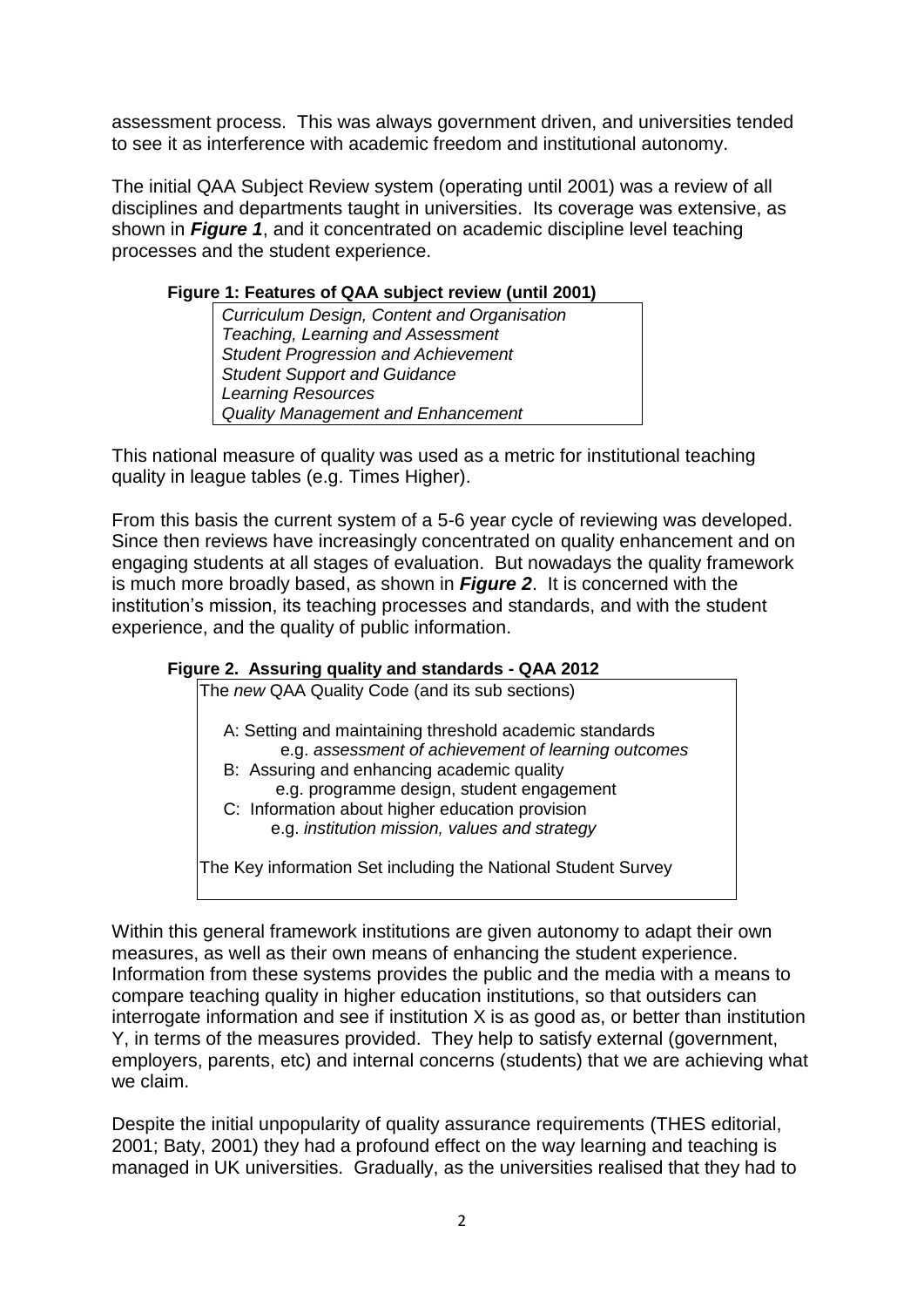assessment process. This was always government driven, and universities tended to see it as interference with academic freedom and institutional autonomy.

The initial QAA Subject Review system (operating until 2001) was a review of all disciplines and departments taught in universities. Its coverage was extensive, as shown in *Figure 1*, and it concentrated on academic discipline level teaching processes and the student experience.

#### **Figure 1: Features of QAA subject review (until 2001)**

*Curriculum Design, Content and Organisation Teaching, Learning and Assessment Student Progression and Achievement Student Support and Guidance Learning Resources Quality Management and Enhancement*

This national measure of quality was used as a metric for institutional teaching quality in league tables (e.g. Times Higher).

From this basis the current system of a 5-6 year cycle of reviewing was developed. Since then reviews have increasingly concentrated on quality enhancement and on engaging students at all stages of evaluation. But nowadays the quality framework is much more broadly based, as shown in *Figure 2*. It is concerned with the institution's mission, its teaching processes and standards, and with the student experience, and the quality of public information.

#### **Figure 2. Assuring quality and standards - QAA 2012**

The *new* QAA Quality Code (and its sub sections)

- A: Setting and maintaining threshold academic standards e.g. *assessment of achievement of learning outcomes*
- B:Assuring and enhancing academic quality e.g. programme design, student engagement
- C: Information about higher education provision e.g. *institution mission, values and strategy*

The Key information Set including the National Student Survey

Within this general framework institutions are given autonomy to adapt their own measures, as well as their own means of enhancing the student experience. Information from these systems provides the public and the media with a means to compare teaching quality in higher education institutions, so that outsiders can interrogate information and see if institution X is as good as, or better than institution Y, in terms of the measures provided. They help to satisfy external (government, employers, parents, etc) and internal concerns (students) that we are achieving what we claim.

Despite the initial unpopularity of quality assurance requirements (THES editorial, 2001; Baty, 2001) they had a profound effect on the way learning and teaching is managed in UK universities. Gradually, as the universities realised that they had to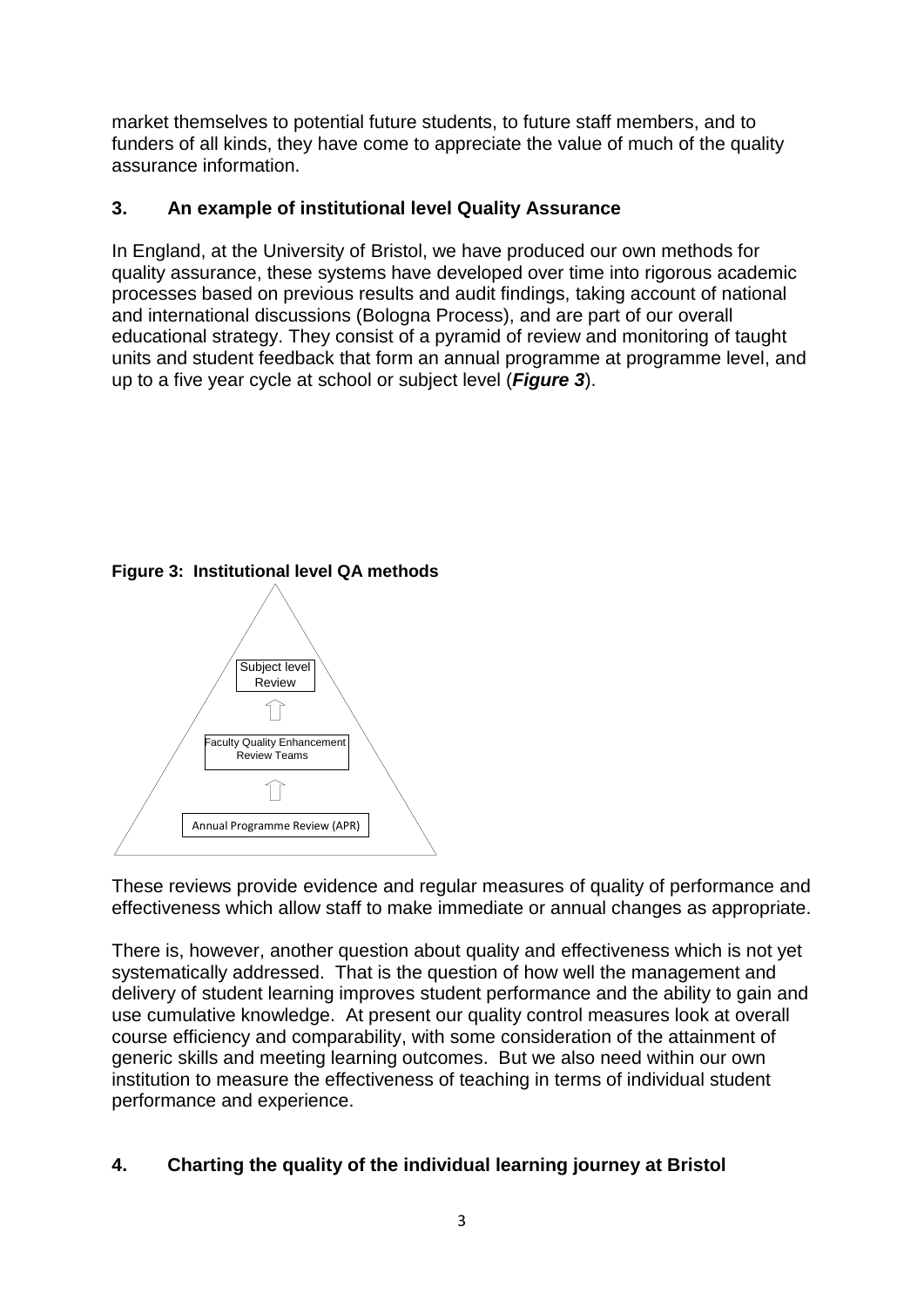market themselves to potential future students, to future staff members, and to funders of all kinds, they have come to appreciate the value of much of the quality assurance information.

#### **3. An example of institutional level Quality Assurance**

In England, at the University of Bristol, we have produced our own methods for quality assurance, these systems have developed over time into rigorous academic processes based on previous results and audit findings, taking account of national and international discussions (Bologna Process), and are part of our overall educational strategy. They consist of a pyramid of review and monitoring of taught units and student feedback that form an annual programme at programme level, and up to a five year cycle at school or subject level (*Figure 3*).

**Figure 3: Institutional level QA methods**



These reviews provide evidence and regular measures of quality of performance and effectiveness which allow staff to make immediate or annual changes as appropriate.

There is, however, another question about quality and effectiveness which is not yet systematically addressed. That is the question of how well the management and delivery of student learning improves student performance and the ability to gain and use cumulative knowledge. At present our quality control measures look at overall course efficiency and comparability, with some consideration of the attainment of generic skills and meeting learning outcomes. But we also need within our own institution to measure the effectiveness of teaching in terms of individual student performance and experience.

#### **4. Charting the quality of the individual learning journey at Bristol**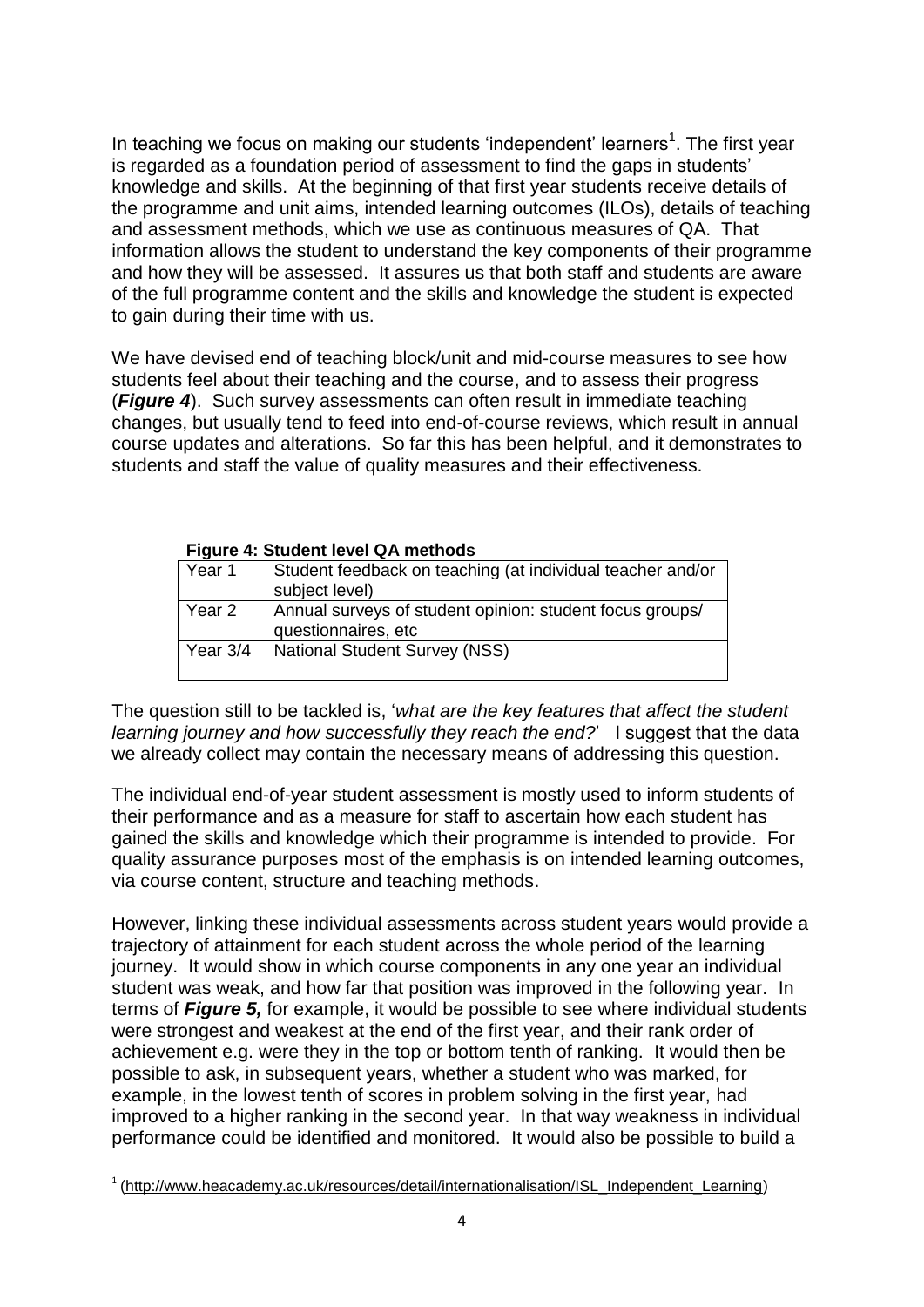In teaching we focus on making our students 'independent' learners<sup>1</sup>. The first year is regarded as a foundation period of assessment to find the gaps in students' knowledge and skills. At the beginning of that first year students receive details of the programme and unit aims, intended learning outcomes (ILOs), details of teaching and assessment methods, which we use as continuous measures of QA. That information allows the student to understand the key components of their programme and how they will be assessed. It assures us that both staff and students are aware of the full programme content and the skills and knowledge the student is expected to gain during their time with us.

We have devised end of teaching block/unit and mid-course measures to see how students feel about their teaching and the course, and to assess their progress (*Figure 4*). Such survey assessments can often result in immediate teaching changes, but usually tend to feed into end-of-course reviews, which result in annual course updates and alterations. So far this has been helpful, and it demonstrates to students and staff the value of quality measures and their effectiveness.

| $\overline{1}$ iguit $\overline{4}$ . Student level wa methods |                                                            |  |  |  |  |  |
|----------------------------------------------------------------|------------------------------------------------------------|--|--|--|--|--|
| Year 1                                                         | Student feedback on teaching (at individual teacher and/or |  |  |  |  |  |
|                                                                | subject level)                                             |  |  |  |  |  |
| Year 2                                                         | Annual surveys of student opinion: student focus groups/   |  |  |  |  |  |
|                                                                | questionnaires, etc                                        |  |  |  |  |  |
| Year $3/4$                                                     | <b>National Student Survey (NSS)</b>                       |  |  |  |  |  |
|                                                                |                                                            |  |  |  |  |  |

#### **Figure 4: Student level QA methods**

The question still to be tackled is, '*what are the key features that affect the student learning journey and how successfully they reach the end?*' I suggest that the data we already collect may contain the necessary means of addressing this question.

The individual end-of-year student assessment is mostly used to inform students of their performance and as a measure for staff to ascertain how each student has gained the skills and knowledge which their programme is intended to provide. For quality assurance purposes most of the emphasis is on intended learning outcomes, via course content, structure and teaching methods.

However, linking these individual assessments across student years would provide a trajectory of attainment for each student across the whole period of the learning journey. It would show in which course components in any one year an individual student was weak, and how far that position was improved in the following year. In terms of *Figure 5,* for example, it would be possible to see where individual students were strongest and weakest at the end of the first year, and their rank order of achievement e.g. were they in the top or bottom tenth of ranking. It would then be possible to ask, in subsequent years, whether a student who was marked, for example, in the lowest tenth of scores in problem solving in the first year, had improved to a higher ranking in the second year. In that way weakness in individual performance could be identified and monitored. It would also be possible to build a

**<sup>.</sup>** <sup>1</sup> [\(http://www.heacademy.ac.uk/resources/detail/internationalisation/ISL\\_Independent\\_Learning\)](http://www.heacademy.ac.uk/resources/detail/internationalisation/ISL_Independent_Learning)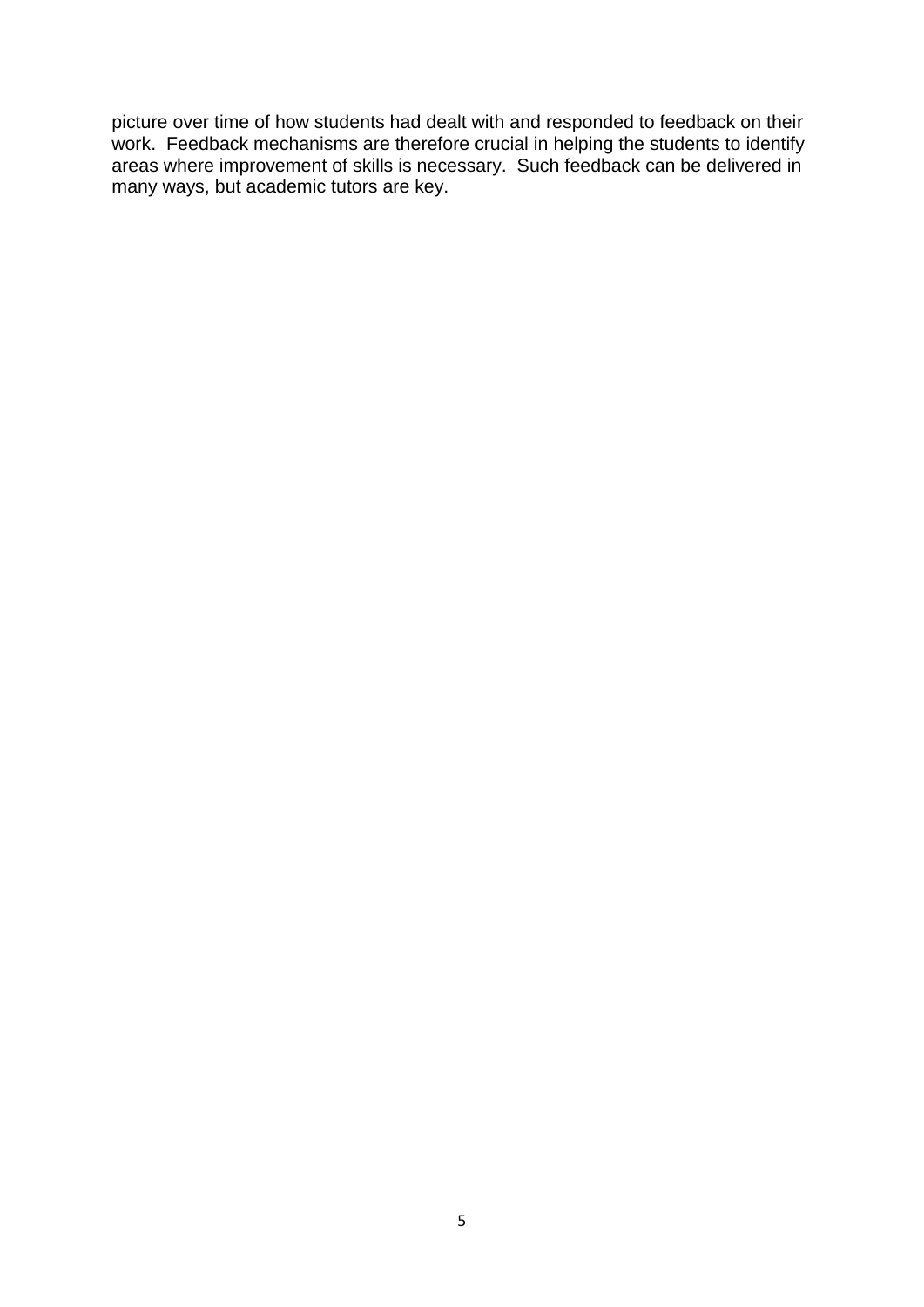picture over time of how students had dealt with and responded to feedback on their work. Feedback mechanisms are therefore crucial in helping the students to identify areas where improvement of skills is necessary. Such feedback can be delivered in many ways, but academic tutors are key.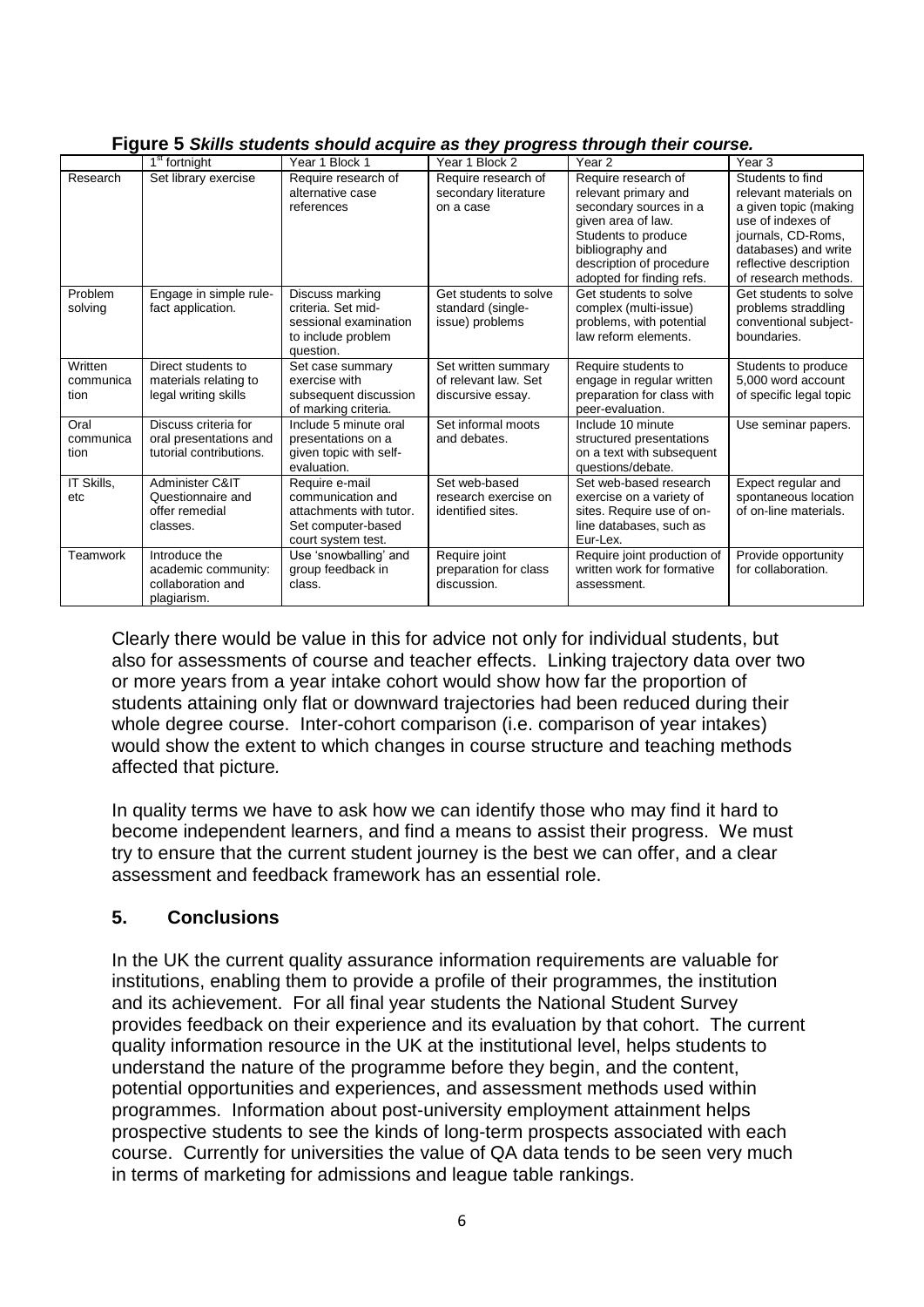|                              |                                                                           |                                                                                                            | , ,                                                              |                                                                                                                                                                    |                                                                                                                                                                                         |
|------------------------------|---------------------------------------------------------------------------|------------------------------------------------------------------------------------------------------------|------------------------------------------------------------------|--------------------------------------------------------------------------------------------------------------------------------------------------------------------|-----------------------------------------------------------------------------------------------------------------------------------------------------------------------------------------|
|                              | $1st$ fortnight                                                           | Year 1 Block 1                                                                                             | Year 1 Block 2                                                   | Year <sub>2</sub>                                                                                                                                                  | Year <sub>3</sub>                                                                                                                                                                       |
| Research                     | Set library exercise                                                      | Require research of<br>alternative case<br>references                                                      | Require research of<br>secondary literature<br>on a case         | Require research of<br>relevant primary and<br>secondary sources in a<br>given area of law.<br>Students to produce<br>bibliography and<br>description of procedure | Students to find<br>relevant materials on<br>a given topic (making<br>use of indexes of<br>journals, CD-Roms,<br>databases) and write<br>reflective description<br>of research methods. |
| Problem<br>solving           | Engage in simple rule-<br>fact application.                               | Discuss marking<br>criteria. Set mid-<br>sessional examination<br>to include problem<br>question.          | Get students to solve<br>standard (single-<br>issue) problems    | adopted for finding refs.<br>Get students to solve<br>complex (multi-issue)<br>problems, with potential<br>law reform elements.                                    | Get students to solve<br>problems straddling<br>conventional subject-<br>boundaries.                                                                                                    |
| Written<br>communica<br>tion | Direct students to<br>materials relating to<br>legal writing skills       | Set case summary<br>exercise with<br>subsequent discussion<br>of marking criteria.                         | Set written summary<br>of relevant law. Set<br>discursive essay. | Require students to<br>engage in regular written<br>preparation for class with<br>peer-evaluation.                                                                 | Students to produce<br>5.000 word account<br>of specific legal topic                                                                                                                    |
| Oral<br>communica<br>tion    | Discuss criteria for<br>oral presentations and<br>tutorial contributions. | Include 5 minute oral<br>presentations on a<br>given topic with self-<br>evaluation.                       | Set informal moots<br>and debates.                               | Include 10 minute<br>structured presentations<br>on a text with subsequent<br>questions/debate.                                                                    | Use seminar papers.                                                                                                                                                                     |
| IT Skills,<br>etc            | Administer C&IT<br>Questionnaire and<br>offer remedial<br>classes.        | Require e-mail<br>communication and<br>attachments with tutor.<br>Set computer-based<br>court system test. | Set web-based<br>research exercise on<br>identified sites.       | Set web-based research<br>exercise on a variety of<br>sites. Require use of on-<br>line databases, such as<br>Eur-Lex.                                             | Expect regular and<br>spontaneous location<br>of on-line materials.                                                                                                                     |
| Teamwork                     | Introduce the<br>academic community:<br>collaboration and<br>plagiarism.  | Use 'snowballing' and<br>group feedback in<br>class.                                                       | Require joint<br>preparation for class<br>discussion.            | Require joint production of<br>written work for formative<br>assessment.                                                                                           | Provide opportunity<br>for collaboration.                                                                                                                                               |

**Figure 5** *Skills students should acquire as they progress through their course.* 

Clearly there would be value in this for advice not only for individual students, but also for assessments of course and teacher effects. Linking trajectory data over two or more years from a year intake cohort would show how far the proportion of students attaining only flat or downward trajectories had been reduced during their whole degree course. Inter-cohort comparison (i.e. comparison of year intakes) would show the extent to which changes in course structure and teaching methods affected that picture*.*

In quality terms we have to ask how we can identify those who may find it hard to become independent learners, and find a means to assist their progress. We must try to ensure that the current student journey is the best we can offer, and a clear assessment and feedback framework has an essential role.

## **5. Conclusions**

In the UK the current quality assurance information requirements are valuable for institutions, enabling them to provide a profile of their programmes, the institution and its achievement. For all final year students the National Student Survey provides feedback on their experience and its evaluation by that cohort. The current quality information resource in the UK at the institutional level, helps students to understand the nature of the programme before they begin, and the content, potential opportunities and experiences, and assessment methods used within programmes. Information about post-university employment attainment helps prospective students to see the kinds of long-term prospects associated with each course. Currently for universities the value of QA data tends to be seen very much in terms of marketing for admissions and league table rankings.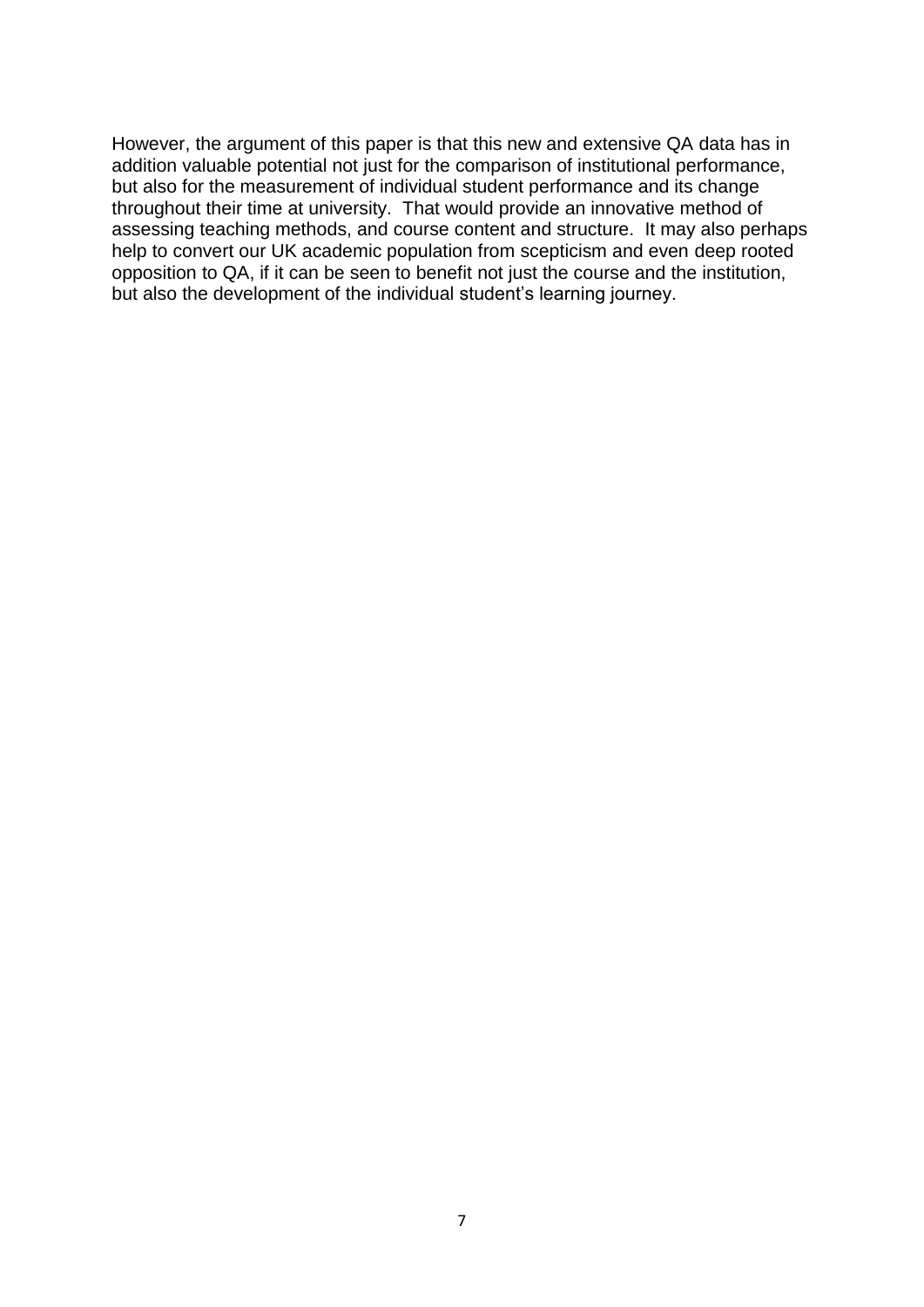However, the argument of this paper is that this new and extensive QA data has in addition valuable potential not just for the comparison of institutional performance, but also for the measurement of individual student performance and its change throughout their time at university. That would provide an innovative method of assessing teaching methods, and course content and structure. It may also perhaps help to convert our UK academic population from scepticism and even deep rooted opposition to QA, if it can be seen to benefit not just the course and the institution, but also the development of the individual student's learning journey.